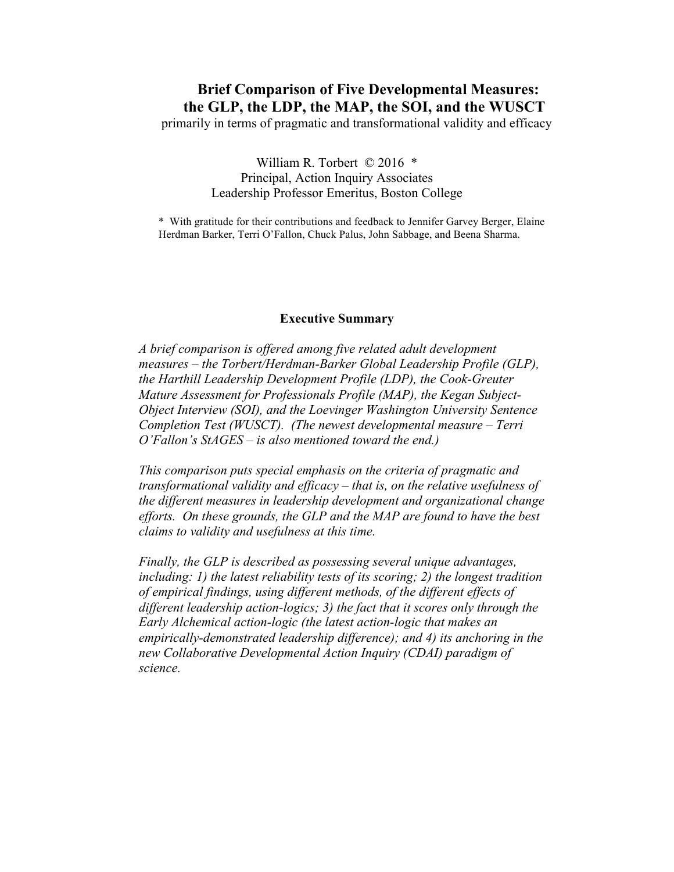# **Brief Comparison of Five Developmental Measures: the GLP, the LDP, the MAP, the SOI, and the WUSCT**

primarily in terms of pragmatic and transformational validity and efficacy

## William R. Torbert © 2016 \* Principal, Action Inquiry Associates Leadership Professor Emeritus, Boston College

\* With gratitude for their contributions and feedback to Jennifer Garvey Berger, Elaine Herdman Barker, Terri O'Fallon, Chuck Palus, John Sabbage, and Beena Sharma.

### **Executive Summary**

*A brief comparison is offered among five related adult development measures – the Torbert/Herdman-Barker Global Leadership Profile (GLP), the Harthill Leadership Development Profile (LDP), the Cook-Greuter Mature Assessment for Professionals Profile (MAP), the Kegan Subject-Object Interview (SOI), and the Loevinger Washington University Sentence Completion Test (WUSCT). (The newest developmental measure – Terri O'Fallon's StAGES – is also mentioned toward the end.)* 

*This comparison puts special emphasis on the criteria of pragmatic and transformational validity and efficacy – that is, on the relative usefulness of the different measures in leadership development and organizational change efforts. On these grounds, the GLP and the MAP are found to have the best claims to validity and usefulness at this time.* 

*Finally, the GLP is described as possessing several unique advantages, including: 1) the latest reliability tests of its scoring; 2) the longest tradition of empirical findings, using different methods, of the different effects of different leadership action-logics; 3) the fact that it scores only through the Early Alchemical action-logic (the latest action-logic that makes an empirically-demonstrated leadership difference); and 4) its anchoring in the new Collaborative Developmental Action Inquiry (CDAI) paradigm of science.*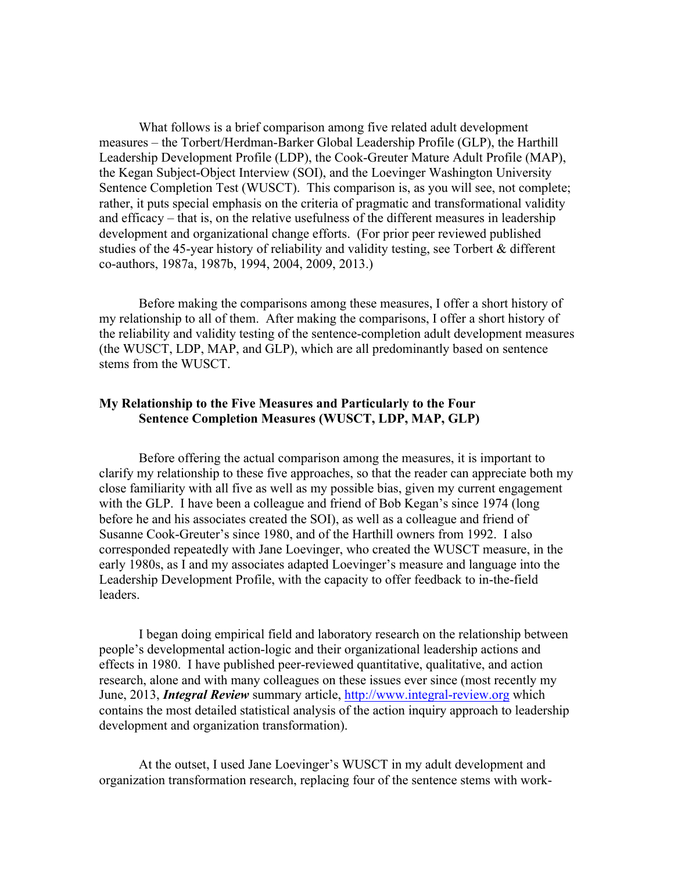What follows is a brief comparison among five related adult development measures – the Torbert/Herdman-Barker Global Leadership Profile (GLP), the Harthill Leadership Development Profile (LDP), the Cook-Greuter Mature Adult Profile (MAP), the Kegan Subject-Object Interview (SOI), and the Loevinger Washington University Sentence Completion Test (WUSCT). This comparison is, as you will see, not complete; rather, it puts special emphasis on the criteria of pragmatic and transformational validity and efficacy – that is, on the relative usefulness of the different measures in leadership development and organizational change efforts. (For prior peer reviewed published studies of the 45-year history of reliability and validity testing, see Torbert & different co-authors, 1987a, 1987b, 1994, 2004, 2009, 2013.)

Before making the comparisons among these measures, I offer a short history of my relationship to all of them. After making the comparisons, I offer a short history of the reliability and validity testing of the sentence-completion adult development measures (the WUSCT, LDP, MAP, and GLP), which are all predominantly based on sentence stems from the WUSCT.

## **My Relationship to the Five Measures and Particularly to the Four Sentence Completion Measures (WUSCT, LDP, MAP, GLP)**

Before offering the actual comparison among the measures, it is important to clarify my relationship to these five approaches, so that the reader can appreciate both my close familiarity with all five as well as my possible bias, given my current engagement with the GLP. I have been a colleague and friend of Bob Kegan's since 1974 (long before he and his associates created the SOI), as well as a colleague and friend of Susanne Cook-Greuter's since 1980, and of the Harthill owners from 1992. I also corresponded repeatedly with Jane Loevinger, who created the WUSCT measure, in the early 1980s, as I and my associates adapted Loevinger's measure and language into the Leadership Development Profile, with the capacity to offer feedback to in-the-field leaders.

I began doing empirical field and laboratory research on the relationship between people's developmental action-logic and their organizational leadership actions and effects in 1980. I have published peer-reviewed quantitative, qualitative, and action research, alone and with many colleagues on these issues ever since (most recently my June, 2013, *Integral Review* summary article, http://www.integral-review.org which contains the most detailed statistical analysis of the action inquiry approach to leadership development and organization transformation).

At the outset, I used Jane Loevinger's WUSCT in my adult development and organization transformation research, replacing four of the sentence stems with work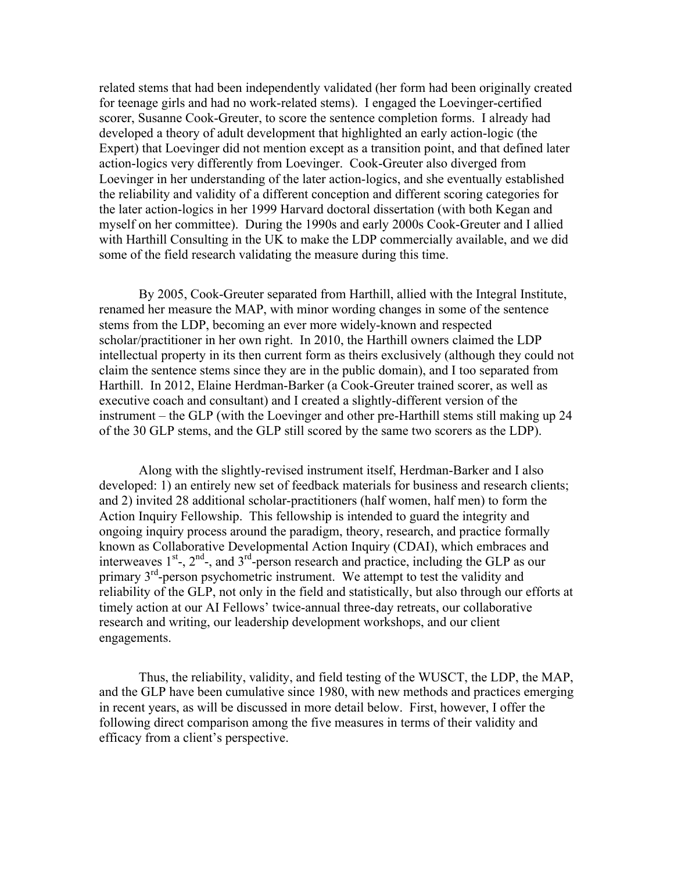related stems that had been independently validated (her form had been originally created for teenage girls and had no work-related stems). I engaged the Loevinger-certified scorer, Susanne Cook-Greuter, to score the sentence completion forms. I already had developed a theory of adult development that highlighted an early action-logic (the Expert) that Loevinger did not mention except as a transition point, and that defined later action-logics very differently from Loevinger. Cook-Greuter also diverged from Loevinger in her understanding of the later action-logics, and she eventually established the reliability and validity of a different conception and different scoring categories for the later action-logics in her 1999 Harvard doctoral dissertation (with both Kegan and myself on her committee). During the 1990s and early 2000s Cook-Greuter and I allied with Harthill Consulting in the UK to make the LDP commercially available, and we did some of the field research validating the measure during this time.

By 2005, Cook-Greuter separated from Harthill, allied with the Integral Institute, renamed her measure the MAP, with minor wording changes in some of the sentence stems from the LDP, becoming an ever more widely-known and respected scholar/practitioner in her own right. In 2010, the Harthill owners claimed the LDP intellectual property in its then current form as theirs exclusively (although they could not claim the sentence stems since they are in the public domain), and I too separated from Harthill. In 2012, Elaine Herdman-Barker (a Cook-Greuter trained scorer, as well as executive coach and consultant) and I created a slightly-different version of the instrument – the GLP (with the Loevinger and other pre-Harthill stems still making up 24 of the 30 GLP stems, and the GLP still scored by the same two scorers as the LDP).

Along with the slightly-revised instrument itself, Herdman-Barker and I also developed: 1) an entirely new set of feedback materials for business and research clients; and 2) invited 28 additional scholar-practitioners (half women, half men) to form the Action Inquiry Fellowship. This fellowship is intended to guard the integrity and ongoing inquiry process around the paradigm, theory, research, and practice formally known as Collaborative Developmental Action Inquiry (CDAI), which embraces and interweaves  $1<sup>st</sup>$ ,  $2<sup>nd</sup>$ , and  $3<sup>rd</sup>$ -person research and practice, including the GLP as our primary 3<sup>rd</sup>-person psychometric instrument. We attempt to test the validity and reliability of the GLP, not only in the field and statistically, but also through our efforts at timely action at our AI Fellows' twice-annual three-day retreats, our collaborative research and writing, our leadership development workshops, and our client engagements.

Thus, the reliability, validity, and field testing of the WUSCT, the LDP, the MAP, and the GLP have been cumulative since 1980, with new methods and practices emerging in recent years, as will be discussed in more detail below. First, however, I offer the following direct comparison among the five measures in terms of their validity and efficacy from a client's perspective.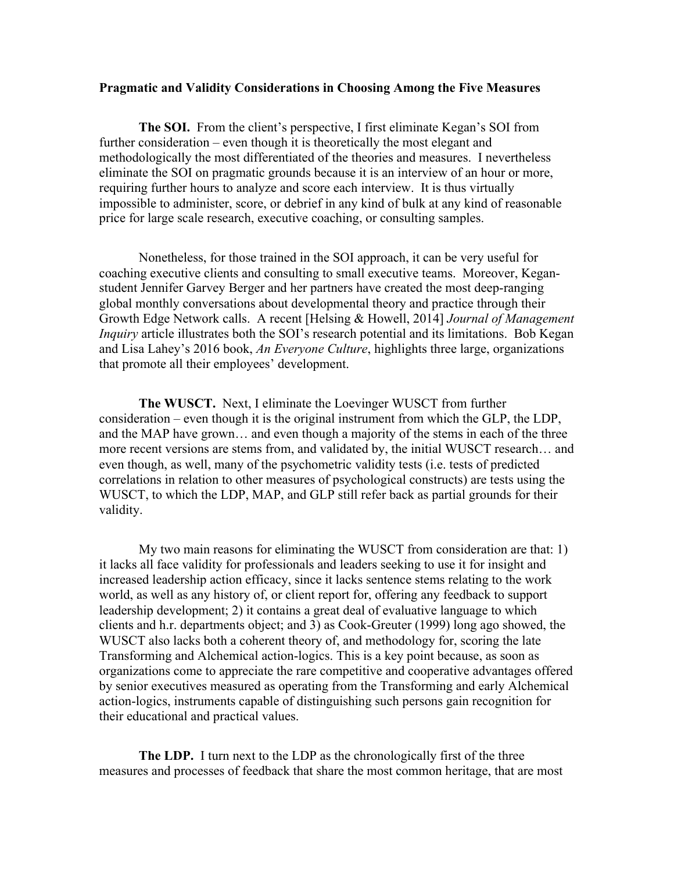#### **Pragmatic and Validity Considerations in Choosing Among the Five Measures**

**The SOI.** From the client's perspective, I first eliminate Kegan's SOI from further consideration – even though it is theoretically the most elegant and methodologically the most differentiated of the theories and measures. I nevertheless eliminate the SOI on pragmatic grounds because it is an interview of an hour or more, requiring further hours to analyze and score each interview. It is thus virtually impossible to administer, score, or debrief in any kind of bulk at any kind of reasonable price for large scale research, executive coaching, or consulting samples.

Nonetheless, for those trained in the SOI approach, it can be very useful for coaching executive clients and consulting to small executive teams. Moreover, Keganstudent Jennifer Garvey Berger and her partners have created the most deep-ranging global monthly conversations about developmental theory and practice through their Growth Edge Network calls. A recent [Helsing & Howell, 2014] *Journal of Management Inquiry* article illustrates both the SOI's research potential and its limitations. Bob Kegan and Lisa Lahey's 2016 book, *An Everyone Culture*, highlights three large, organizations that promote all their employees' development.

**The WUSCT.** Next, I eliminate the Loevinger WUSCT from further consideration – even though it is the original instrument from which the GLP, the LDP, and the MAP have grown… and even though a majority of the stems in each of the three more recent versions are stems from, and validated by, the initial WUSCT research… and even though, as well, many of the psychometric validity tests (i.e. tests of predicted correlations in relation to other measures of psychological constructs) are tests using the WUSCT, to which the LDP, MAP, and GLP still refer back as partial grounds for their validity.

My two main reasons for eliminating the WUSCT from consideration are that: 1) it lacks all face validity for professionals and leaders seeking to use it for insight and increased leadership action efficacy, since it lacks sentence stems relating to the work world, as well as any history of, or client report for, offering any feedback to support leadership development; 2) it contains a great deal of evaluative language to which clients and h.r. departments object; and 3) as Cook-Greuter (1999) long ago showed, the WUSCT also lacks both a coherent theory of, and methodology for, scoring the late Transforming and Alchemical action-logics. This is a key point because, as soon as organizations come to appreciate the rare competitive and cooperative advantages offered by senior executives measured as operating from the Transforming and early Alchemical action-logics, instruments capable of distinguishing such persons gain recognition for their educational and practical values.

**The LDP.** I turn next to the LDP as the chronologically first of the three measures and processes of feedback that share the most common heritage, that are most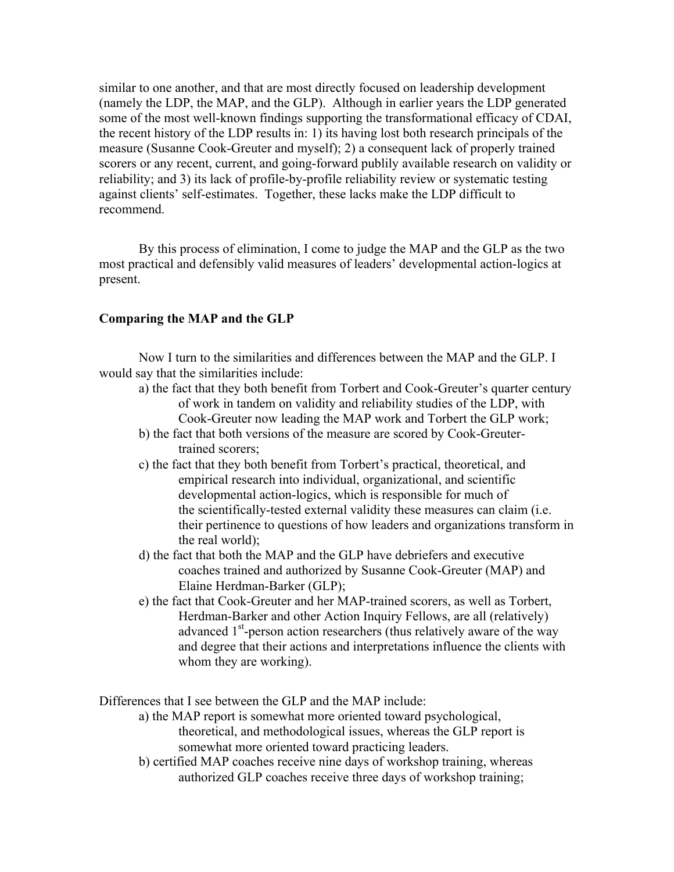similar to one another, and that are most directly focused on leadership development (namely the LDP, the MAP, and the GLP). Although in earlier years the LDP generated some of the most well-known findings supporting the transformational efficacy of CDAI, the recent history of the LDP results in: 1) its having lost both research principals of the measure (Susanne Cook-Greuter and myself); 2) a consequent lack of properly trained scorers or any recent, current, and going-forward publily available research on validity or reliability; and 3) its lack of profile-by-profile reliability review or systematic testing against clients' self-estimates. Together, these lacks make the LDP difficult to recommend.

By this process of elimination, I come to judge the MAP and the GLP as the two most practical and defensibly valid measures of leaders' developmental action-logics at present.

## **Comparing the MAP and the GLP**

Now I turn to the similarities and differences between the MAP and the GLP. I would say that the similarities include:

- a) the fact that they both benefit from Torbert and Cook-Greuter's quarter century of work in tandem on validity and reliability studies of the LDP, with Cook-Greuter now leading the MAP work and Torbert the GLP work;
- b) the fact that both versions of the measure are scored by Cook-Greutertrained scorers;
- c) the fact that they both benefit from Torbert's practical, theoretical, and empirical research into individual, organizational, and scientific developmental action-logics, which is responsible for much of the scientifically-tested external validity these measures can claim (i.e. their pertinence to questions of how leaders and organizations transform in the real world);
- d) the fact that both the MAP and the GLP have debriefers and executive coaches trained and authorized by Susanne Cook-Greuter (MAP) and Elaine Herdman-Barker (GLP);
- e) the fact that Cook-Greuter and her MAP-trained scorers, as well as Torbert, Herdman-Barker and other Action Inquiry Fellows, are all (relatively) advanced 1<sup>st</sup>-person action researchers (thus relatively aware of the way and degree that their actions and interpretations influence the clients with whom they are working).

Differences that I see between the GLP and the MAP include:

- a) the MAP report is somewhat more oriented toward psychological, theoretical, and methodological issues, whereas the GLP report is somewhat more oriented toward practicing leaders.
- b) certified MAP coaches receive nine days of workshop training, whereas authorized GLP coaches receive three days of workshop training;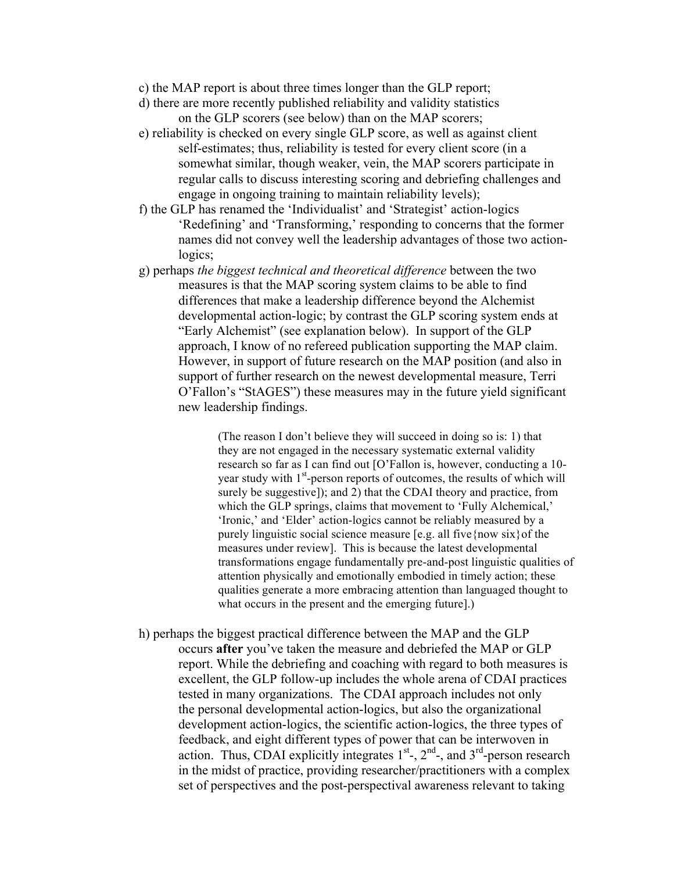- c) the MAP report is about three times longer than the GLP report;
- d) there are more recently published reliability and validity statistics on the GLP scorers (see below) than on the MAP scorers;
- e) reliability is checked on every single GLP score, as well as against client self-estimates; thus, reliability is tested for every client score (in a somewhat similar, though weaker, vein, the MAP scorers participate in regular calls to discuss interesting scoring and debriefing challenges and engage in ongoing training to maintain reliability levels);
- f) the GLP has renamed the 'Individualist' and 'Strategist' action-logics 'Redefining' and 'Transforming,' responding to concerns that the former names did not convey well the leadership advantages of those two actionlogics;
- g) perhaps *the biggest technical and theoretical difference* between the two measures is that the MAP scoring system claims to be able to find differences that make a leadership difference beyond the Alchemist developmental action-logic; by contrast the GLP scoring system ends at "Early Alchemist" (see explanation below). In support of the GLP approach, I know of no refereed publication supporting the MAP claim. However, in support of future research on the MAP position (and also in support of further research on the newest developmental measure, Terri O'Fallon's "StAGES") these measures may in the future yield significant new leadership findings.

(The reason I don't believe they will succeed in doing so is: 1) that they are not engaged in the necessary systematic external validity research so far as I can find out [O'Fallon is, however, conducting a 10 year study with 1<sup>st</sup>-person reports of outcomes, the results of which will surely be suggestive]); and 2) that the CDAI theory and practice, from which the GLP springs, claims that movement to 'Fully Alchemical,' 'Ironic,' and 'Elder' action-logics cannot be reliably measured by a purely linguistic social science measure [e.g. all five{now six}of the measures under review]. This is because the latest developmental transformations engage fundamentally pre-and-post linguistic qualities of attention physically and emotionally embodied in timely action; these qualities generate a more embracing attention than languaged thought to what occurs in the present and the emerging future].)

h) perhaps the biggest practical difference between the MAP and the GLP occurs **after** you've taken the measure and debriefed the MAP or GLP report. While the debriefing and coaching with regard to both measures is excellent, the GLP follow-up includes the whole arena of CDAI practices tested in many organizations. The CDAI approach includes not only the personal developmental action-logics, but also the organizational development action-logics, the scientific action-logics, the three types of feedback, and eight different types of power that can be interwoven in action. Thus, CDAI explicitly integrates  $1<sup>st</sup>$ ,  $2<sup>nd</sup>$ , and  $3<sup>rd</sup>$ -person research in the midst of practice, providing researcher/practitioners with a complex set of perspectives and the post-perspectival awareness relevant to taking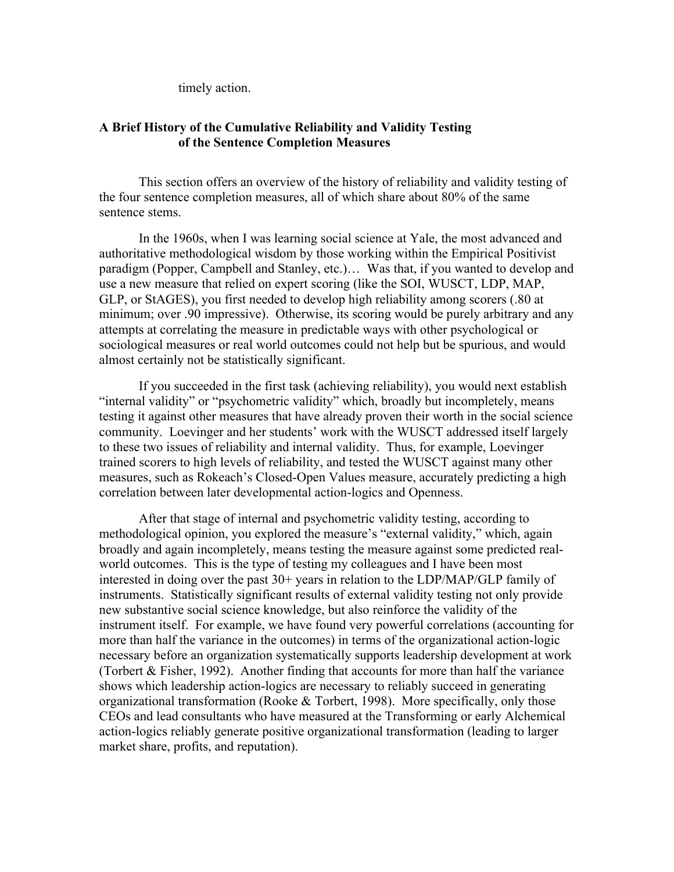timely action.

## **A Brief History of the Cumulative Reliability and Validity Testing of the Sentence Completion Measures**

This section offers an overview of the history of reliability and validity testing of the four sentence completion measures, all of which share about 80% of the same sentence stems.

In the 1960s, when I was learning social science at Yale, the most advanced and authoritative methodological wisdom by those working within the Empirical Positivist paradigm (Popper, Campbell and Stanley, etc.)… Was that, if you wanted to develop and use a new measure that relied on expert scoring (like the SOI, WUSCT, LDP, MAP, GLP, or StAGES), you first needed to develop high reliability among scorers (.80 at minimum; over .90 impressive). Otherwise, its scoring would be purely arbitrary and any attempts at correlating the measure in predictable ways with other psychological or sociological measures or real world outcomes could not help but be spurious, and would almost certainly not be statistically significant.

If you succeeded in the first task (achieving reliability), you would next establish "internal validity" or "psychometric validity" which, broadly but incompletely, means testing it against other measures that have already proven their worth in the social science community. Loevinger and her students' work with the WUSCT addressed itself largely to these two issues of reliability and internal validity. Thus, for example, Loevinger trained scorers to high levels of reliability, and tested the WUSCT against many other measures, such as Rokeach's Closed-Open Values measure, accurately predicting a high correlation between later developmental action-logics and Openness.

After that stage of internal and psychometric validity testing, according to methodological opinion, you explored the measure's "external validity," which, again broadly and again incompletely, means testing the measure against some predicted realworld outcomes. This is the type of testing my colleagues and I have been most interested in doing over the past 30+ years in relation to the LDP/MAP/GLP family of instruments. Statistically significant results of external validity testing not only provide new substantive social science knowledge, but also reinforce the validity of the instrument itself. For example, we have found very powerful correlations (accounting for more than half the variance in the outcomes) in terms of the organizational action-logic necessary before an organization systematically supports leadership development at work (Torbert & Fisher, 1992). Another finding that accounts for more than half the variance shows which leadership action-logics are necessary to reliably succeed in generating organizational transformation (Rooke & Torbert, 1998). More specifically, only those CEOs and lead consultants who have measured at the Transforming or early Alchemical action-logics reliably generate positive organizational transformation (leading to larger market share, profits, and reputation).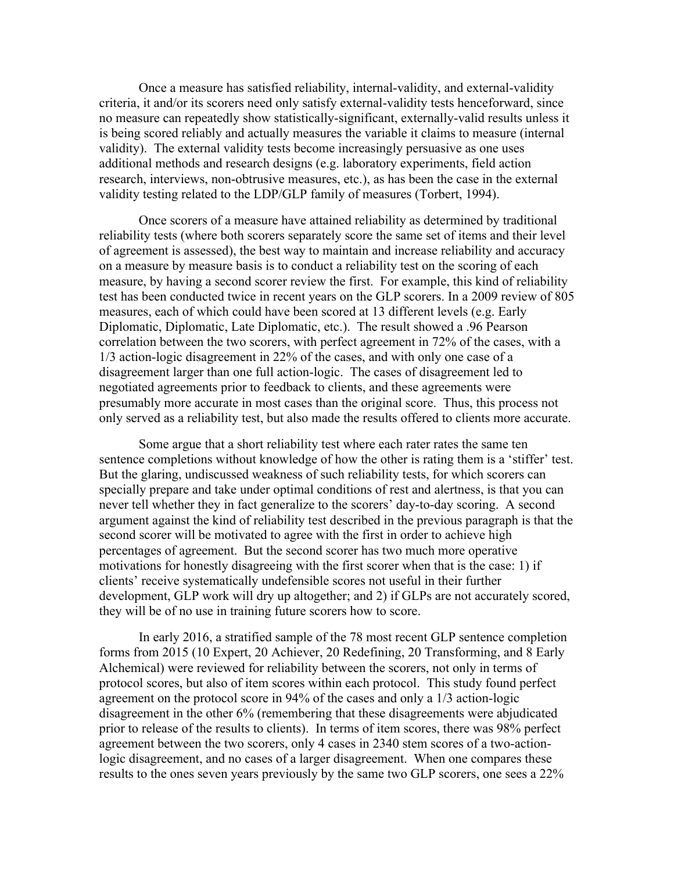Once a measure has satisfied reliability, internal-validity, and external-validity criteria, it and/or its scorers need only satisfy external-validity tests henceforward, since no measure can repeatedly show statistically-significant, externally-valid results unless it is being scored reliably and actually measures the variable it claims to measure (internal validity). The external validity tests become increasingly persuasive as one uses additional methods and research designs (e.g. laboratory experiments, field action research, interviews, non-obtrusive measures, etc.), as has been the case in the external validity testing related to the LDP/GLP family of measures (Torbert, 1994).

Once scorers of a measure have attained reliability as determined by traditional reliability tests (where both scorers separately score the same set of items and their level of agreement is assessed), the best way to maintain and increase reliability and accuracy on a measure by measure basis is to conduct a reliability test on the scoring of each measure, by having a second scorer review the first. For example, this kind of reliability test has been conducted twice in recent years on the GLP scorers. In a 2009 review of 805 measures, each of which could have been scored at 13 different levels (e.g. Early Diplomatic, Diplomatic, Late Diplomatic, etc.). The result showed a .96 Pearson correlation between the two scorers, with perfect agreement in 72% of the cases, with a 1/3 action-logic disagreement in 22% of the cases, and with only one case of a disagreement larger than one full action-logic. The cases of disagreement led to negotiated agreements prior to feedback to clients, and these agreements were presumably more accurate in most cases than the original score. Thus, this process not only served as a reliability test, but also made the results offered to clients more accurate.

Some argue that a short reliability test where each rater rates the same ten sentence completions without knowledge of how the other is rating them is a 'stiffer' test. But the glaring, undiscussed weakness of such reliability tests, for which scorers can specially prepare and take under optimal conditions of rest and alertness, is that you can never tell whether they in fact generalize to the scorers' day-to-day scoring. A second argument against the kind of reliability test described in the previous paragraph is that the second scorer will be motivated to agree with the first in order to achieve high percentages of agreement. But the second scorer has two much more operative motivations for honestly disagreeing with the first scorer when that is the case: 1) if clients' receive systematically undefensible scores not useful in their further development, GLP work will dry up altogether; and 2) if GLPs are not accurately scored, they will be of no use in training future scorers how to score.

In early 2016, a stratified sample of the 78 most recent GLP sentence completion forms from 2015 (10 Expert, 20 Achiever, 20 Redefining, 20 Transforming, and 8 Early Alchemical) were reviewed for reliability between the scorers, not only in terms of protocol scores, but also of item scores within each protocol. This study found perfect agreement on the protocol score in 94% of the cases and only a 1/3 action-logic disagreement in the other 6% (remembering that these disagreements were abjudicated prior to release of the results to clients). In terms of item scores, there was 98% perfect agreement between the two scorers, only 4 cases in 2340 stem scores of a two-actionlogic disagreement, and no cases of a larger disagreement. When one compares these results to the ones seven years previously by the same two GLP scorers, one sees a 22%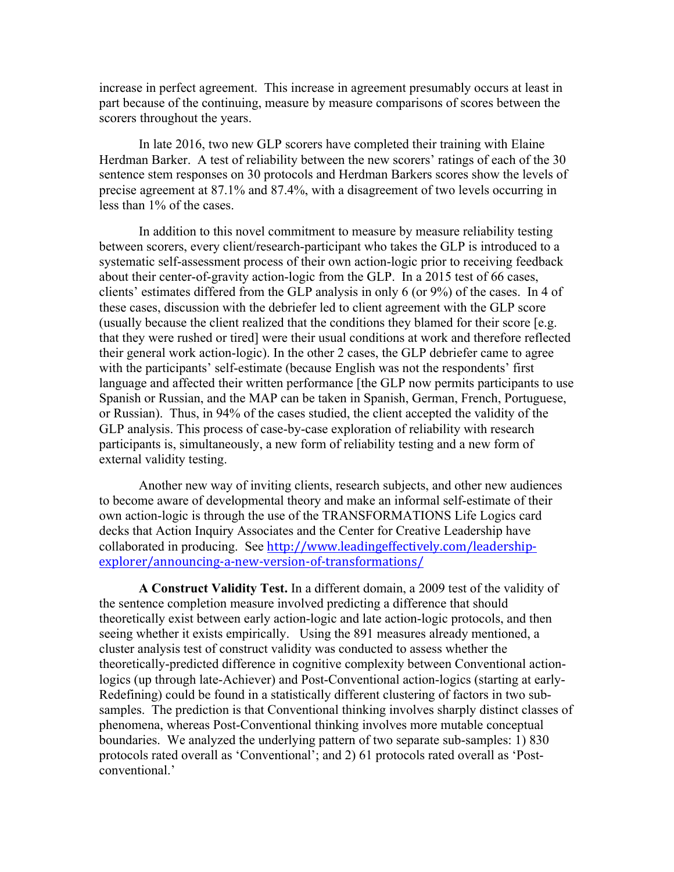increase in perfect agreement. This increase in agreement presumably occurs at least in part because of the continuing, measure by measure comparisons of scores between the scorers throughout the years.

In late 2016, two new GLP scorers have completed their training with Elaine Herdman Barker. A test of reliability between the new scorers' ratings of each of the 30 sentence stem responses on 30 protocols and Herdman Barkers scores show the levels of precise agreement at 87.1% and 87.4%, with a disagreement of two levels occurring in less than 1% of the cases.

In addition to this novel commitment to measure by measure reliability testing between scorers, every client/research-participant who takes the GLP is introduced to a systematic self-assessment process of their own action-logic prior to receiving feedback about their center-of-gravity action-logic from the GLP. In a 2015 test of 66 cases, clients' estimates differed from the GLP analysis in only 6 (or 9%) of the cases. In 4 of these cases, discussion with the debriefer led to client agreement with the GLP score (usually because the client realized that the conditions they blamed for their score [e.g. that they were rushed or tired] were their usual conditions at work and therefore reflected their general work action-logic). In the other 2 cases, the GLP debriefer came to agree with the participants' self-estimate (because English was not the respondents' first language and affected their written performance [the GLP now permits participants to use Spanish or Russian, and the MAP can be taken in Spanish, German, French, Portuguese, or Russian). Thus, in 94% of the cases studied, the client accepted the validity of the GLP analysis. This process of case-by-case exploration of reliability with research participants is, simultaneously, a new form of reliability testing and a new form of external validity testing.

Another new way of inviting clients, research subjects, and other new audiences to become aware of developmental theory and make an informal self-estimate of their own action-logic is through the use of the TRANSFORMATIONS Life Logics card decks that Action Inquiry Associates and the Center for Creative Leadership have collaborated in producing. See http://www.leadingeffectively.com/leadershipexplorer/announcing-a-new-version-of-transformations/

**A Construct Validity Test.** In a different domain, a 2009 test of the validity of the sentence completion measure involved predicting a difference that should theoretically exist between early action-logic and late action-logic protocols, and then seeing whether it exists empirically. Using the 891 measures already mentioned, a cluster analysis test of construct validity was conducted to assess whether the theoretically-predicted difference in cognitive complexity between Conventional actionlogics (up through late-Achiever) and Post-Conventional action-logics (starting at early-Redefining) could be found in a statistically different clustering of factors in two subsamples. The prediction is that Conventional thinking involves sharply distinct classes of phenomena, whereas Post-Conventional thinking involves more mutable conceptual boundaries. We analyzed the underlying pattern of two separate sub-samples: 1) 830 protocols rated overall as 'Conventional'; and 2) 61 protocols rated overall as 'Postconventional.'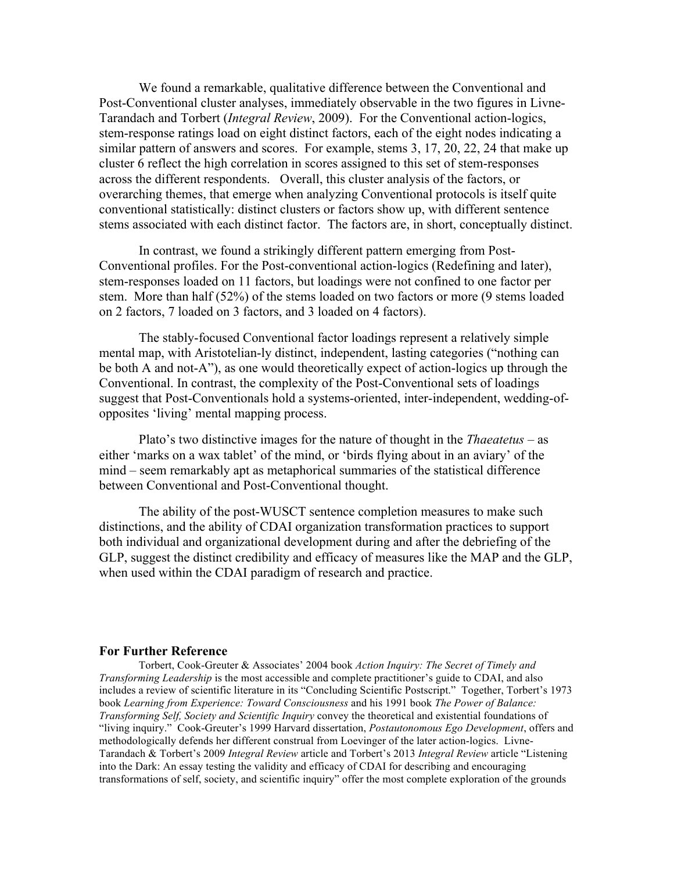We found a remarkable, qualitative difference between the Conventional and Post-Conventional cluster analyses, immediately observable in the two figures in Livne-Tarandach and Torbert (*Integral Review*, 2009). For the Conventional action-logics, stem-response ratings load on eight distinct factors, each of the eight nodes indicating a similar pattern of answers and scores. For example, stems 3, 17, 20, 22, 24 that make up cluster 6 reflect the high correlation in scores assigned to this set of stem-responses across the different respondents. Overall, this cluster analysis of the factors, or overarching themes, that emerge when analyzing Conventional protocols is itself quite conventional statistically: distinct clusters or factors show up, with different sentence stems associated with each distinct factor. The factors are, in short, conceptually distinct.

In contrast, we found a strikingly different pattern emerging from Post-Conventional profiles. For the Post-conventional action-logics (Redefining and later), stem-responses loaded on 11 factors, but loadings were not confined to one factor per stem. More than half (52%) of the stems loaded on two factors or more (9 stems loaded on 2 factors, 7 loaded on 3 factors, and 3 loaded on 4 factors).

The stably-focused Conventional factor loadings represent a relatively simple mental map, with Aristotelian-ly distinct, independent, lasting categories ("nothing can be both A and not-A"), as one would theoretically expect of action-logics up through the Conventional. In contrast, the complexity of the Post-Conventional sets of loadings suggest that Post-Conventionals hold a systems-oriented, inter-independent, wedding-ofopposites 'living' mental mapping process.

Plato's two distinctive images for the nature of thought in the *Thaeatetus* – as either 'marks on a wax tablet' of the mind, or 'birds flying about in an aviary' of the mind – seem remarkably apt as metaphorical summaries of the statistical difference between Conventional and Post-Conventional thought.

The ability of the post-WUSCT sentence completion measures to make such distinctions, and the ability of CDAI organization transformation practices to support both individual and organizational development during and after the debriefing of the GLP, suggest the distinct credibility and efficacy of measures like the MAP and the GLP, when used within the CDAI paradigm of research and practice.

#### **For Further Reference**

Torbert, Cook-Greuter & Associates' 2004 book *Action Inquiry: The Secret of Timely and Transforming Leadership* is the most accessible and complete practitioner's guide to CDAI, and also includes a review of scientific literature in its "Concluding Scientific Postscript." Together, Torbert's 1973 book *Learning from Experience: Toward Consciousness* and his 1991 book *The Power of Balance: Transforming Self, Society and Scientific Inquiry* convey the theoretical and existential foundations of "living inquiry." Cook-Greuter's 1999 Harvard dissertation, *Postautonomous Ego Development*, offers and methodologically defends her different construal from Loevinger of the later action-logics. Livne-Tarandach & Torbert's 2009 *Integral Review* article and Torbert's 2013 *Integral Review* article "Listening into the Dark: An essay testing the validity and efficacy of CDAI for describing and encouraging transformations of self, society, and scientific inquiry" offer the most complete exploration of the grounds